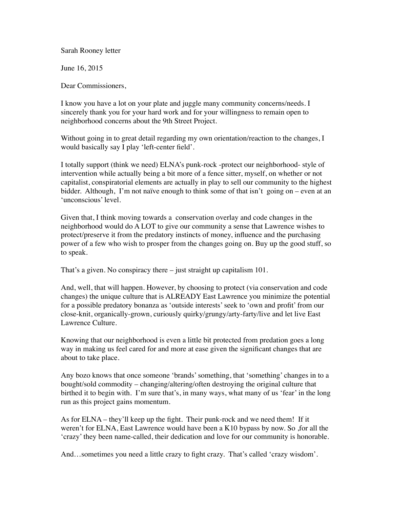Sarah Rooney letter

June 16, 2015

Dear Commissioners,

I know you have a lot on your plate and juggle many community concerns/needs. I sincerely thank you for your hard work and for your willingness to remain open to neighborhood concerns about the 9th Street Project.

Without going in to great detail regarding my own orientation/reaction to the changes, I would basically say I play 'left-center field'.

I totally support (think we need) ELNA's punk-rock -protect our neighborhood- style of intervention while actually being a bit more of a fence sitter, myself, on whether or not capitalist, conspiratorial elements are actually in play to sell our community to the highest bidder. Although, I'm not naïve enough to think some of that isn't going on – even at an 'unconscious' level.

Given that, I think moving towards a conservation overlay and code changes in the neighborhood would do A LOT to give our community a sense that Lawrence wishes to protect/preserve it from the predatory instincts of money, influence and the purchasing power of a few who wish to prosper from the changes going on. Buy up the good stuff, so to speak.

That's a given. No conspiracy there – just straight up capitalism 101.

And, well, that will happen. However, by choosing to protect (via conservation and code changes) the unique culture that is ALREADY East Lawrence you minimize the potential for a possible predatory bonanza as 'outside interests' seek to 'own and profit' from our close-knit, organically-grown, curiously quirky/grungy/arty-farty/live and let live East Lawrence Culture.

Knowing that our neighborhood is even a little bit protected from predation goes a long way in making us feel cared for and more at ease given the significant changes that are about to take place.

Any bozo knows that once someone 'brands' something, that 'something' changes in to a bought/sold commodity – changing/altering/often destroying the original culture that birthed it to begin with. I'm sure that's, in many ways, what many of us 'fear' in the long run as this project gains momentum.

As for ELNA – they'll keep up the fight. Their punk-rock and we need them! If it weren't for ELNA, East Lawrence would have been a K10 bypass by now. So ,for all the 'crazy' they been name-called, their dedication and love for our community is honorable.

And…sometimes you need a little crazy to fight crazy. That's called 'crazy wisdom'.